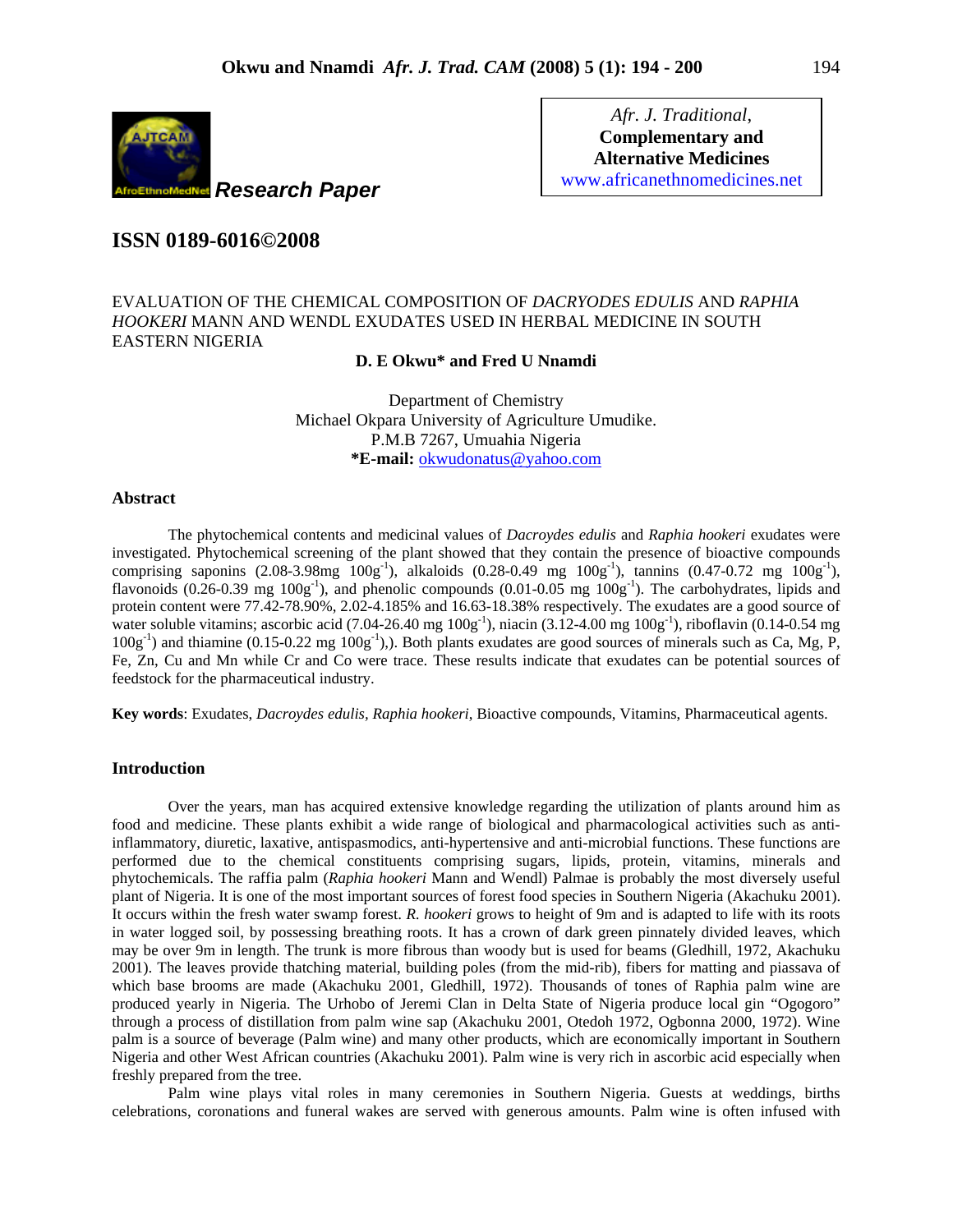

*Afr. J. Traditional*, **Complementary and Alternative Medicines**  www.africanethnomedicines.net

# **ISSN 0189-6016©2008**

## EVALUATION OF THE CHEMICAL COMPOSITION OF *DACRYODES EDULIS* AND *RAPHIA HOOKERI* MANN AND WENDL EXUDATES USED IN HERBAL MEDICINE IN SOUTH EASTERN NIGERIA

### **D. E Okwu\* and Fred U Nnamdi**

Department of Chemistry Michael Okpara University of Agriculture Umudike. P.M.B 7267, Umuahia Nigeria **\*E-mail:** okwudonatus@yahoo.com

#### **Abstract**

The phytochemical contents and medicinal values of *Dacroydes edulis* and *Raphia hookeri* exudates were investigated. Phytochemical screening of the plant showed that they contain the presence of bioactive compounds comprising saponins  $(2.08-3.98mg \ 100g^{-1})$ , alkaloids  $(0.28-0.49 \ mg \ 100g^{-1})$ , tannins  $(0.47-0.72 \ mg \ 100g^{-1})$ , flavonoids (0.26-0.39 mg  $100g^{-1}$ ), and phenolic compounds (0.01-0.05 mg  $100g^{-1}$ ). The carbohydrates, lipids and protein content were 77.42-78.90%, 2.02-4.185% and 16.63-18.38% respectively. The exudates are a good source of water soluble vitamins; ascorbic acid (7.04-26.40 mg  $100g^{-1}$ ), niacin (3.12-4.00 mg  $100g^{-1}$ ), riboflavin (0.14-0.54 mg  $100g^{-1}$ ) and thiamine (0.15-0.22 mg  $100g^{-1}$ ),). Both plants exudates are good sources of minerals such as Ca, Mg, P, Fe, Zn, Cu and Mn while Cr and Co were trace. These results indicate that exudates can be potential sources of feedstock for the pharmaceutical industry.

**Key words**: Exudates, *Dacroydes edulis, Raphia hookeri*, Bioactive compounds, Vitamins, Pharmaceutical agents.

## **Introduction**

 Over the years, man has acquired extensive knowledge regarding the utilization of plants around him as food and medicine. These plants exhibit a wide range of biological and pharmacological activities such as antiinflammatory, diuretic, laxative, antispasmodics, anti-hypertensive and anti-microbial functions. These functions are performed due to the chemical constituents comprising sugars, lipids, protein, vitamins, minerals and phytochemicals. The raffia palm (*Raphia hookeri* Mann and Wendl) Palmae is probably the most diversely useful plant of Nigeria. It is one of the most important sources of forest food species in Southern Nigeria (Akachuku 2001). It occurs within the fresh water swamp forest. *R. hookeri* grows to height of 9m and is adapted to life with its roots in water logged soil, by possessing breathing roots. It has a crown of dark green pinnately divided leaves, which may be over 9m in length. The trunk is more fibrous than woody but is used for beams (Gledhill, 1972, Akachuku 2001). The leaves provide thatching material, building poles (from the mid-rib), fibers for matting and piassava of which base brooms are made (Akachuku 2001, Gledhill, 1972). Thousands of tones of Raphia palm wine are produced yearly in Nigeria. The Urhobo of Jeremi Clan in Delta State of Nigeria produce local gin "Ogogoro" through a process of distillation from palm wine sap (Akachuku 2001, Otedoh 1972, Ogbonna 2000, 1972). Wine palm is a source of beverage (Palm wine) and many other products, which are economically important in Southern Nigeria and other West African countries (Akachuku 2001). Palm wine is very rich in ascorbic acid especially when freshly prepared from the tree.

 Palm wine plays vital roles in many ceremonies in Southern Nigeria. Guests at weddings, births celebrations, coronations and funeral wakes are served with generous amounts. Palm wine is often infused with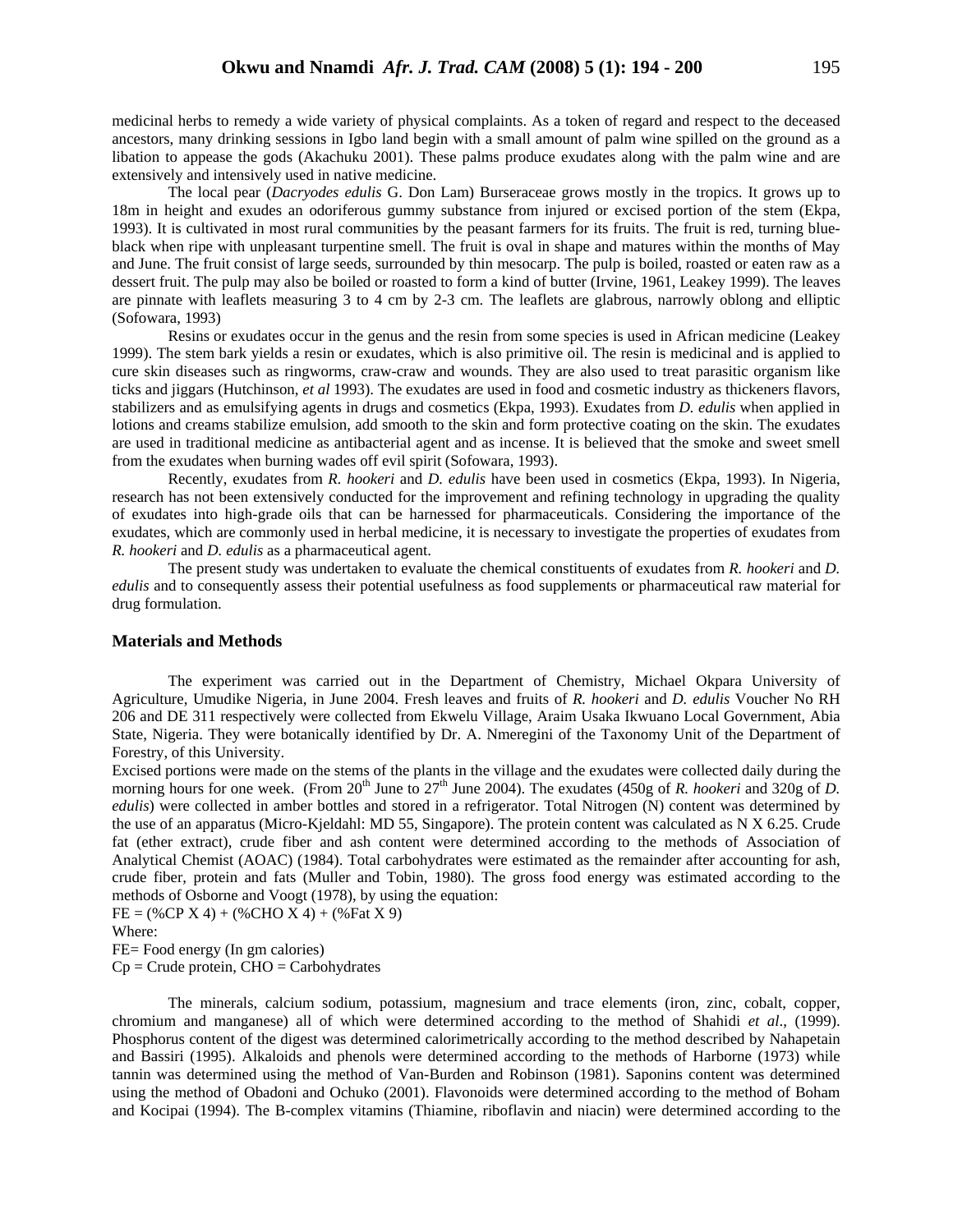medicinal herbs to remedy a wide variety of physical complaints. As a token of regard and respect to the deceased ancestors, many drinking sessions in Igbo land begin with a small amount of palm wine spilled on the ground as a libation to appease the gods (Akachuku 2001). These palms produce exudates along with the palm wine and are extensively and intensively used in native medicine.

 The local pear (*Dacryodes edulis* G. Don Lam) Burseraceae grows mostly in the tropics. It grows up to 18m in height and exudes an odoriferous gummy substance from injured or excised portion of the stem (Ekpa, 1993). It is cultivated in most rural communities by the peasant farmers for its fruits. The fruit is red, turning blueblack when ripe with unpleasant turpentine smell. The fruit is oval in shape and matures within the months of May and June. The fruit consist of large seeds, surrounded by thin mesocarp. The pulp is boiled, roasted or eaten raw as a dessert fruit. The pulp may also be boiled or roasted to form a kind of butter (Irvine, 1961, Leakey 1999). The leaves are pinnate with leaflets measuring 3 to 4 cm by 2-3 cm. The leaflets are glabrous, narrowly oblong and elliptic (Sofowara, 1993)

 Resins or exudates occur in the genus and the resin from some species is used in African medicine (Leakey 1999). The stem bark yields a resin or exudates, which is also primitive oil. The resin is medicinal and is applied to cure skin diseases such as ringworms, craw-craw and wounds. They are also used to treat parasitic organism like ticks and jiggars (Hutchinson, *et al* 1993). The exudates are used in food and cosmetic industry as thickeners flavors, stabilizers and as emulsifying agents in drugs and cosmetics (Ekpa, 1993). Exudates from *D. edulis* when applied in lotions and creams stabilize emulsion, add smooth to the skin and form protective coating on the skin. The exudates are used in traditional medicine as antibacterial agent and as incense. It is believed that the smoke and sweet smell from the exudates when burning wades off evil spirit (Sofowara, 1993).

 Recently, exudates from *R. hookeri* and *D. edulis* have been used in cosmetics (Ekpa, 1993). In Nigeria, research has not been extensively conducted for the improvement and refining technology in upgrading the quality of exudates into high-grade oils that can be harnessed for pharmaceuticals. Considering the importance of the exudates, which are commonly used in herbal medicine, it is necessary to investigate the properties of exudates from *R. hookeri* and *D. edulis* as a pharmaceutical agent.

 The present study was undertaken to evaluate the chemical constituents of exudates from *R. hookeri* and *D. edulis* and to consequently assess their potential usefulness as food supplements or pharmaceutical raw material for drug formulation.

#### **Materials and Methods**

 The experiment was carried out in the Department of Chemistry, Michael Okpara University of Agriculture, Umudike Nigeria, in June 2004. Fresh leaves and fruits of *R. hookeri* and *D. edulis* Voucher No RH 206 and DE 311 respectively were collected from Ekwelu Village, Araim Usaka Ikwuano Local Government, Abia State, Nigeria. They were botanically identified by Dr. A. Nmeregini of the Taxonomy Unit of the Department of Forestry, of this University.

Excised portions were made on the stems of the plants in the village and the exudates were collected daily during the morning hours for one week. (From 20<sup>th</sup> June to 27<sup>th</sup> June 2004). The exudates (450g of *R. hookeri* and 320g of *D. edulis*) were collected in amber bottles and stored in a refrigerator. Total Nitrogen (N) content was determined by the use of an apparatus (Micro-Kjeldahl: MD 55, Singapore). The protein content was calculated as N X 6.25. Crude fat (ether extract), crude fiber and ash content were determined according to the methods of Association of Analytical Chemist (AOAC) (1984). Total carbohydrates were estimated as the remainder after accounting for ash, crude fiber, protein and fats (Muller and Tobin, 1980). The gross food energy was estimated according to the methods of Osborne and Voogt (1978), by using the equation:

 $FE = (\%CP X 4) + (\%CHO X 4) + (\%FA X 9)$ 

Where:

FE= Food energy (In gm calories)

 $Cp = Crude protein, CHO = Carbohydrodrates$ 

 The minerals, calcium sodium, potassium, magnesium and trace elements (iron, zinc, cobalt, copper, chromium and manganese) all of which were determined according to the method of Shahidi *et al*., (1999). Phosphorus content of the digest was determined calorimetrically according to the method described by Nahapetain and Bassiri (1995). Alkaloids and phenols were determined according to the methods of Harborne (1973) while tannin was determined using the method of Van-Burden and Robinson (1981). Saponins content was determined using the method of Obadoni and Ochuko (2001). Flavonoids were determined according to the method of Boham and Kocipai (1994). The B-complex vitamins (Thiamine, riboflavin and niacin) were determined according to the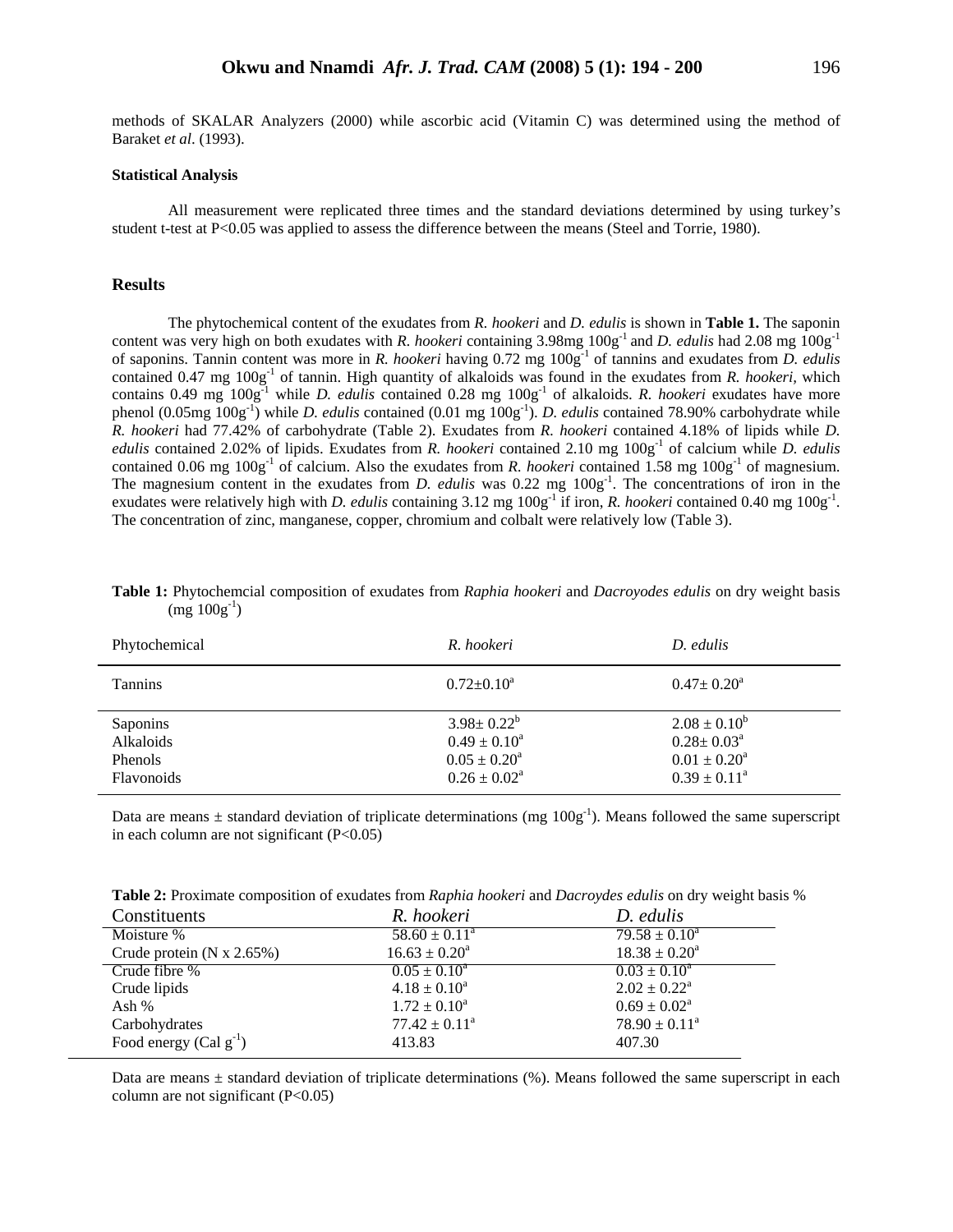methods of SKALAR Analyzers (2000) while ascorbic acid (Vitamin C) was determined using the method of Baraket *et al*. (1993).

#### **Statistical Analysis**

All measurement were replicated three times and the standard deviations determined by using turkey's student t-test at P<0.05 was applied to assess the difference between the means (Steel and Torrie, 1980).

#### **Results**

 The phytochemical content of the exudates from *R. hookeri* and *D. edulis* is shown in **Table 1.** The saponin content was very high on both exudates with *R. hookeri* containing 3.98mg  $100g<sup>-1</sup>$  and *D. edulis* had 2.08 mg  $100g<sup>-1</sup>$ of saponins. Tannin content was more in *R. hookeri* having 0.72 mg 100g-1 of tannins and exudates from *D. edulis* contained 0.47 mg 100g<sup>-1</sup> of tannin. High quantity of alkaloids was found in the exudates from *R. hookeri*, which contains 0.49 mg 100g-1 while *D. edulis* contained 0.28 mg 100g-1 of alkaloids. *R. hookeri* exudates have more phenol (0.05mg 100g-1) while *D. edulis* contained (0.01 mg 100g-1). *D. edulis* contained 78.90% carbohydrate while *R. hookeri* had 77.42% of carbohydrate (Table 2). Exudates from *R. hookeri* contained 4.18% of lipids while *D. edulis* contained 2.02% of lipids. Exudates from *R. hookeri* contained 2.10 mg 100g-1 of calcium while *D. edulis* contained 0.06 mg  $100g^{-1}$  of calcium. Also the exudates from *R. hookeri* contained 1.58 mg  $100g^{-1}$  of magnesium. The magnesium content in the exudates from *D. edulis* was 0.22 mg  $100g^{-1}$ . The concentrations of iron in the exudates were relatively high with *D. edulis* containing  $3.12 \text{ mg } 100g^{-1}$  if iron, *R. hookeri* contained 0.40 mg  $100g^{-1}$ . The concentration of zinc, manganese, copper, chromium and colbalt were relatively low (Table 3).

| Phytochemical                                         | R. hookeri                                                                                | D. edulis                                                                                 |
|-------------------------------------------------------|-------------------------------------------------------------------------------------------|-------------------------------------------------------------------------------------------|
| <b>Tannins</b>                                        | $0.72 \pm 0.10^a$                                                                         | $0.47 \pm 0.20^{\circ}$                                                                   |
| Saponins<br>Alkaloids<br><b>Phenols</b><br>Flavonoids | $3.98 \pm 0.22^b$<br>$0.49 \pm 0.10^a$<br>$0.05 \pm 0.20^a$<br>$0.26 \pm 0.02^{\text{a}}$ | $2.08 \pm 0.10^b$<br>$0.28 \pm 0.03^{\text{a}}$<br>$0.01 \pm 0.20^a$<br>$0.39 \pm 0.11^a$ |

**Table 1:** Phytochemcial composition of exudates from *Raphia hookeri* and *Dacroyodes edulis* on dry weight basis  $(mg 100g^{-1})$ 

Data are means  $\pm$  standard deviation of triplicate determinations (mg  $100g^{-1}$ ). Means followed the same superscript in each column are not significant  $(P<0.05)$ 

|  |  | Table 2: Proximate composition of exudates from Raphia hookeri and Dacroydes edulis on dry weight basis % |  |
|--|--|-----------------------------------------------------------------------------------------------------------|--|
|--|--|-----------------------------------------------------------------------------------------------------------|--|

| Constituents                | R. hookeri                  | D. edulis                  |
|-----------------------------|-----------------------------|----------------------------|
| Moisture %                  | $58.60 \pm 0.11^{\circ}$    | $79.58 \pm 0.10^a$         |
| Crude protein $(N x 2.65%)$ | $16.63 \pm 0.20^a$          | $18.38 \pm 0.20^a$         |
| Crude fibre %               | $0.05 \pm 0.10^4$           | $0.03 \pm 0.10^4$          |
| Crude lipids                | $4.18 \pm 0.10^a$           | $2.02 \pm 0.22^{\text{a}}$ |
| Ash %                       | $1.72 \pm 0.10^a$           | $0.69 \pm 0.02^{\text{a}}$ |
| Carbohydrates               | $77.42 \pm 0.11^{\text{a}}$ | $78.90 \pm 0.11^a$         |
| Food energy (Cal $g^{-1}$ ) | 413.83                      | 407.30                     |

Data are means  $\pm$  standard deviation of triplicate determinations (%). Means followed the same superscript in each column are not significant  $(P<0.05)$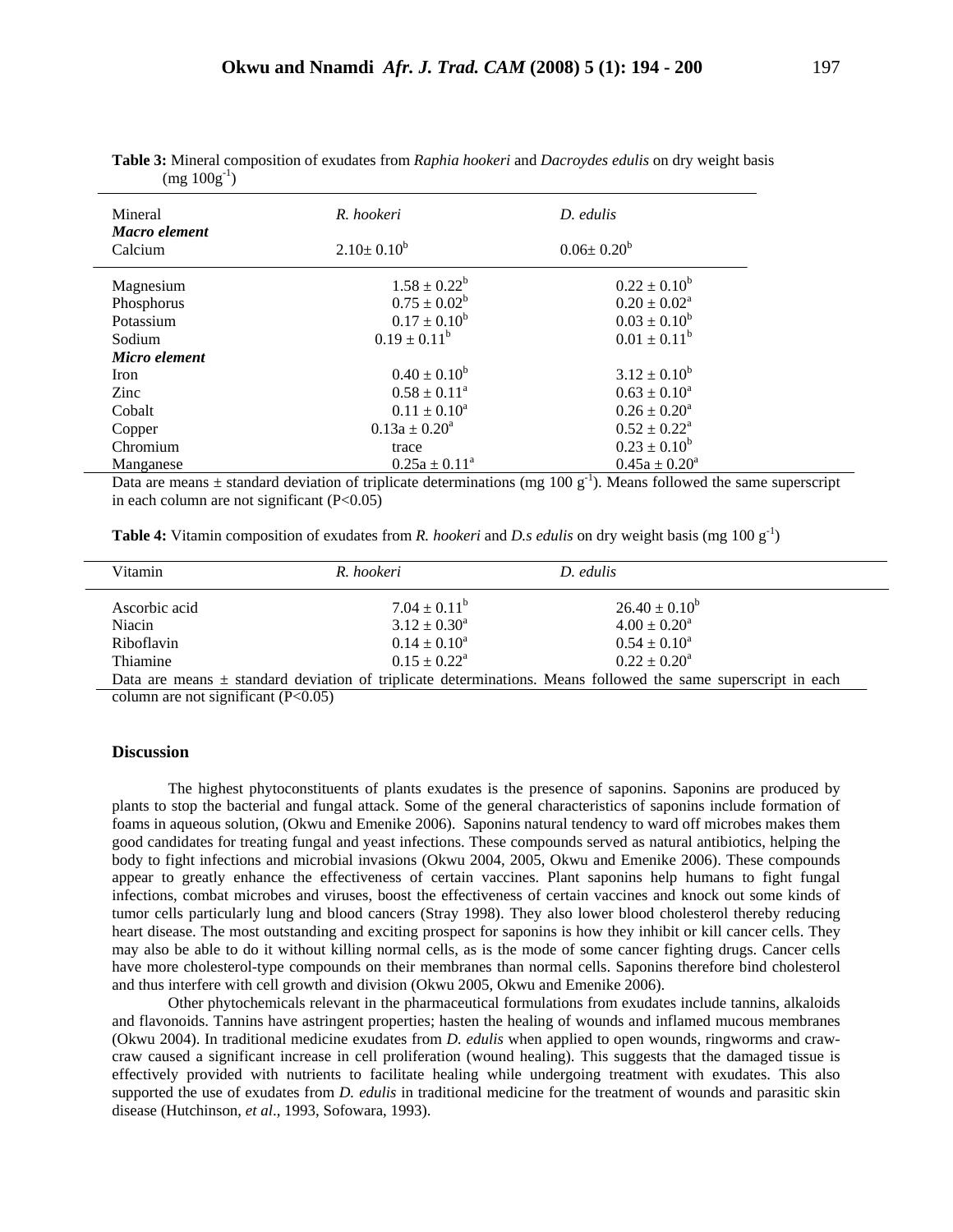| Mineral       | R. hookeri              | $D.$ edulis        |
|---------------|-------------------------|--------------------|
| Macro element |                         |                    |
| Calcium       | $2.10 \pm 0.10^b$       | $0.06 \pm 0.20^b$  |
| Magnesium     | $1.58 \pm 0.22^b$       | $0.22 \pm 0.10^b$  |
| Phosphorus    | $0.75 \pm 0.02^b$       | $0.20 \pm 0.02^a$  |
| Potassium     | $0.17 \pm 0.10^b$       | $0.03 \pm 0.10^b$  |
| Sodium        | $0.19 \pm 0.11^b$       | $0.01 \pm 0.11^b$  |
| Micro element |                         |                    |
| Iron          | $0.40 \pm 0.10^b$       | $3.12 \pm 0.10^b$  |
| Zinc          | $0.58 \pm 0.11^{\circ}$ | $0.63 \pm 0.10^a$  |
| Cobalt        | $0.11 \pm 0.10^a$       | $0.26 \pm 0.20^a$  |
| Copper        | $0.13a \pm 0.20^a$      | $0.52 \pm 0.22^a$  |
| Chromium      | trace                   | $0.23 \pm 0.10^b$  |
| Manganese     | $0.25a \pm 0.11^a$      | $0.45a \pm 0.20^a$ |

**Table 3:** Mineral composition of exudates from *Raphia hookeri* and *Dacroydes edulis* on dry weight basis  $(mg 100g^{-1})$ 

Data are means  $\pm$  standard deviation of triplicate determinations (mg 100 g<sup>-1</sup>). Means followed the same superscript in each column are not significant  $(P<0.05)$ 

| <b>Table 4:</b> Vitamin composition of exudates from R. hookeri and D.s edulis on dry weight basis (mg 100 $g^{-1}$ ) |  |
|-----------------------------------------------------------------------------------------------------------------------|--|
|-----------------------------------------------------------------------------------------------------------------------|--|

| Vitamin                 | R. hookeri                             | D. edulis                                                                                                         |
|-------------------------|----------------------------------------|-------------------------------------------------------------------------------------------------------------------|
| Ascorbic acid<br>Niacin | $7.04 \pm 0.11^b$<br>$3.12 \pm 0.30^a$ | $26.40 \pm 0.10^6$<br>$4.00 \pm 0.20^a$                                                                           |
| Riboflavin              | $0.14 \pm 0.10^a$                      | $0.54 \pm 0.10^a$                                                                                                 |
| Thiamine                | $0.15 \pm 0.22^{\text{a}}$             | $0.22 \pm 0.20^a$                                                                                                 |
|                         |                                        | Data are means $\pm$ standard deviation of triplicate determinations. Means followed the same superscript in each |

column are not significant  $(P<0.05)$ 

#### **Discussion**

 The highest phytoconstituents of plants exudates is the presence of saponins. Saponins are produced by plants to stop the bacterial and fungal attack. Some of the general characteristics of saponins include formation of foams in aqueous solution, (Okwu and Emenike 2006). Saponins natural tendency to ward off microbes makes them good candidates for treating fungal and yeast infections. These compounds served as natural antibiotics, helping the body to fight infections and microbial invasions (Okwu 2004, 2005, Okwu and Emenike 2006). These compounds appear to greatly enhance the effectiveness of certain vaccines. Plant saponins help humans to fight fungal infections, combat microbes and viruses, boost the effectiveness of certain vaccines and knock out some kinds of tumor cells particularly lung and blood cancers (Stray 1998). They also lower blood cholesterol thereby reducing heart disease. The most outstanding and exciting prospect for saponins is how they inhibit or kill cancer cells. They may also be able to do it without killing normal cells, as is the mode of some cancer fighting drugs. Cancer cells have more cholesterol-type compounds on their membranes than normal cells. Saponins therefore bind cholesterol and thus interfere with cell growth and division (Okwu 2005, Okwu and Emenike 2006).

 Other phytochemicals relevant in the pharmaceutical formulations from exudates include tannins, alkaloids and flavonoids. Tannins have astringent properties; hasten the healing of wounds and inflamed mucous membranes (Okwu 2004). In traditional medicine exudates from *D. edulis* when applied to open wounds, ringworms and crawcraw caused a significant increase in cell proliferation (wound healing). This suggests that the damaged tissue is effectively provided with nutrients to facilitate healing while undergoing treatment with exudates. This also supported the use of exudates from *D. edulis* in traditional medicine for the treatment of wounds and parasitic skin disease (Hutchinson, *et al*., 1993, Sofowara, 1993).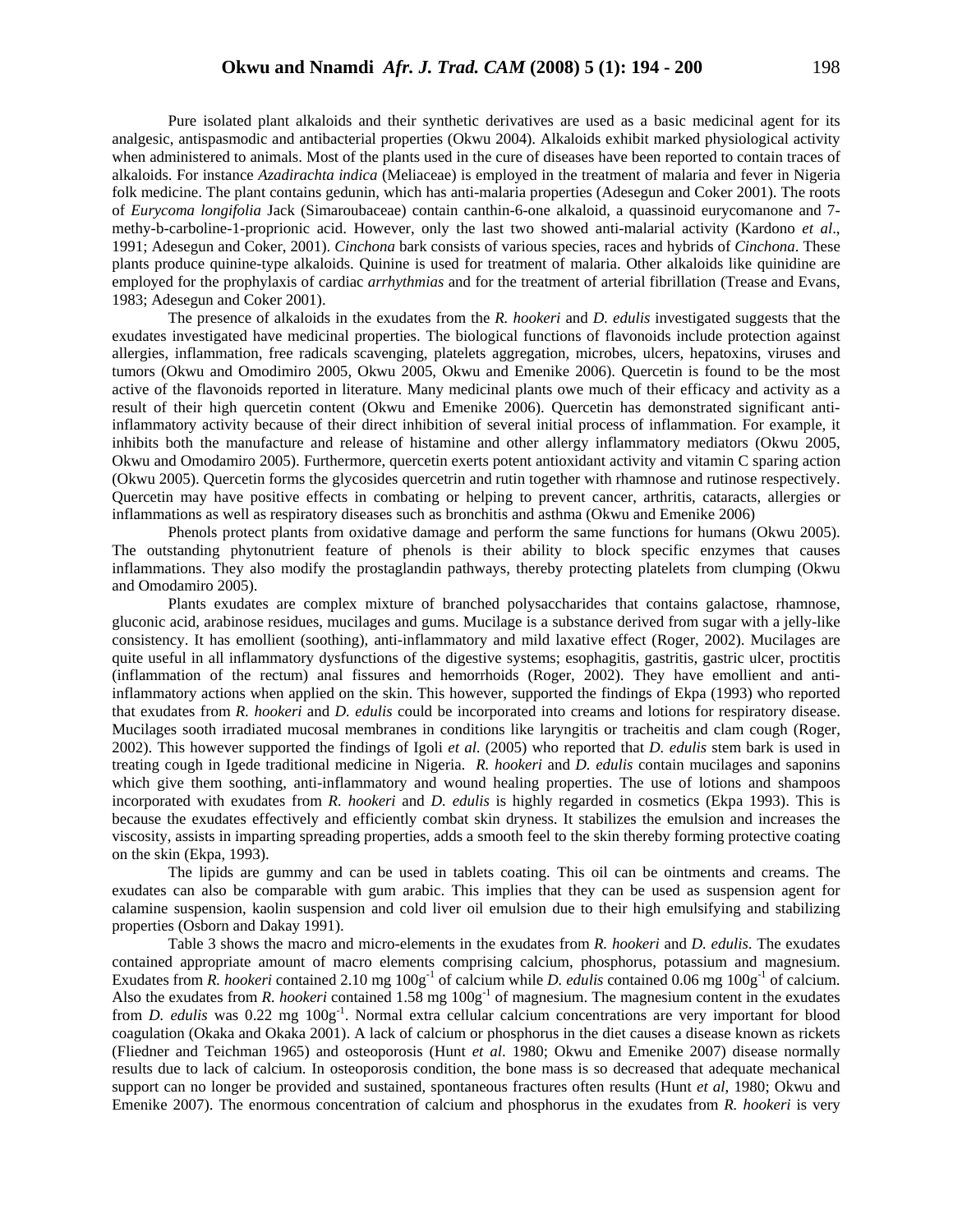Pure isolated plant alkaloids and their synthetic derivatives are used as a basic medicinal agent for its analgesic, antispasmodic and antibacterial properties (Okwu 2004). Alkaloids exhibit marked physiological activity when administered to animals. Most of the plants used in the cure of diseases have been reported to contain traces of alkaloids. For instance *Azadirachta indica* (Meliaceae) is employed in the treatment of malaria and fever in Nigeria folk medicine. The plant contains gedunin, which has anti-malaria properties (Adesegun and Coker 2001). The roots of *Eurycoma longifolia* Jack (Simaroubaceae) contain canthin-6-one alkaloid, a quassinoid eurycomanone and 7 methy-b-carboline-1-proprionic acid. However, only the last two showed anti-malarial activity (Kardono *et al*., 1991; Adesegun and Coker, 2001). *Cinchona* bark consists of various species, races and hybrids of *Cinchona*. These plants produce quinine-type alkaloids. Quinine is used for treatment of malaria. Other alkaloids like quinidine are employed for the prophylaxis of cardiac *arrhythmias* and for the treatment of arterial fibrillation (Trease and Evans, 1983; Adesegun and Coker 2001).

 The presence of alkaloids in the exudates from the *R. hookeri* and *D. edulis* investigated suggests that the exudates investigated have medicinal properties. The biological functions of flavonoids include protection against allergies, inflammation, free radicals scavenging, platelets aggregation, microbes, ulcers, hepatoxins, viruses and tumors (Okwu and Omodimiro 2005, Okwu 2005, Okwu and Emenike 2006). Quercetin is found to be the most active of the flavonoids reported in literature. Many medicinal plants owe much of their efficacy and activity as a result of their high quercetin content (Okwu and Emenike 2006). Quercetin has demonstrated significant antiinflammatory activity because of their direct inhibition of several initial process of inflammation. For example, it inhibits both the manufacture and release of histamine and other allergy inflammatory mediators (Okwu 2005, Okwu and Omodamiro 2005). Furthermore, quercetin exerts potent antioxidant activity and vitamin C sparing action (Okwu 2005). Quercetin forms the glycosides quercetrin and rutin together with rhamnose and rutinose respectively. Quercetin may have positive effects in combating or helping to prevent cancer, arthritis, cataracts, allergies or inflammations as well as respiratory diseases such as bronchitis and asthma (Okwu and Emenike 2006)

Phenols protect plants from oxidative damage and perform the same functions for humans (Okwu 2005). The outstanding phytonutrient feature of phenols is their ability to block specific enzymes that causes inflammations. They also modify the prostaglandin pathways, thereby protecting platelets from clumping (Okwu and Omodamiro 2005).

 Plants exudates are complex mixture of branched polysaccharides that contains galactose, rhamnose, gluconic acid, arabinose residues, mucilages and gums. Mucilage is a substance derived from sugar with a jelly-like consistency. It has emollient (soothing), anti-inflammatory and mild laxative effect (Roger, 2002). Mucilages are quite useful in all inflammatory dysfunctions of the digestive systems; esophagitis, gastritis, gastric ulcer, proctitis (inflammation of the rectum) anal fissures and hemorrhoids (Roger, 2002). They have emollient and antiinflammatory actions when applied on the skin. This however, supported the findings of Ekpa (1993) who reported that exudates from *R. hookeri* and *D. edulis* could be incorporated into creams and lotions for respiratory disease. Mucilages sooth irradiated mucosal membranes in conditions like laryngitis or tracheitis and clam cough (Roger, 2002). This however supported the findings of Igoli *et al*. (2005) who reported that *D. edulis* stem bark is used in treating cough in Igede traditional medicine in Nigeria. *R. hookeri* and *D. edulis* contain mucilages and saponins which give them soothing, anti-inflammatory and wound healing properties. The use of lotions and shampoos incorporated with exudates from *R. hookeri* and *D. edulis* is highly regarded in cosmetics (Ekpa 1993). This is because the exudates effectively and efficiently combat skin dryness. It stabilizes the emulsion and increases the viscosity, assists in imparting spreading properties, adds a smooth feel to the skin thereby forming protective coating on the skin (Ekpa, 1993).

The lipids are gummy and can be used in tablets coating. This oil can be ointments and creams. The exudates can also be comparable with gum arabic. This implies that they can be used as suspension agent for calamine suspension, kaolin suspension and cold liver oil emulsion due to their high emulsifying and stabilizing properties (Osborn and Dakay 1991).

Table 3 shows the macro and micro-elements in the exudates from *R. hookeri* and *D. edulis*. The exudates contained appropriate amount of macro elements comprising calcium, phosphorus, potassium and magnesium. Exudates from *R. hookeri* contained 2.10 mg  $100g<sup>-1</sup>$  of calcium while *D. edulis* contained 0.06 mg  $100g<sup>-1</sup>$  of calcium. Also the exudates from *R. hookeri* contained 1.58 mg 100g<sup>-1</sup> of magnesium. The magnesium content in the exudates from *D. edulis* was 0.22 mg 100g<sup>-1</sup>. Normal extra cellular calcium concentrations are very important for blood coagulation (Okaka and Okaka 2001). A lack of calcium or phosphorus in the diet causes a disease known as rickets (Fliedner and Teichman 1965) and osteoporosis (Hunt *et al*. 1980; Okwu and Emenike 2007) disease normally results due to lack of calcium. In osteoporosis condition, the bone mass is so decreased that adequate mechanical support can no longer be provided and sustained, spontaneous fractures often results (Hunt *et al*, 1980; Okwu and Emenike 2007). The enormous concentration of calcium and phosphorus in the exudates from *R. hookeri* is very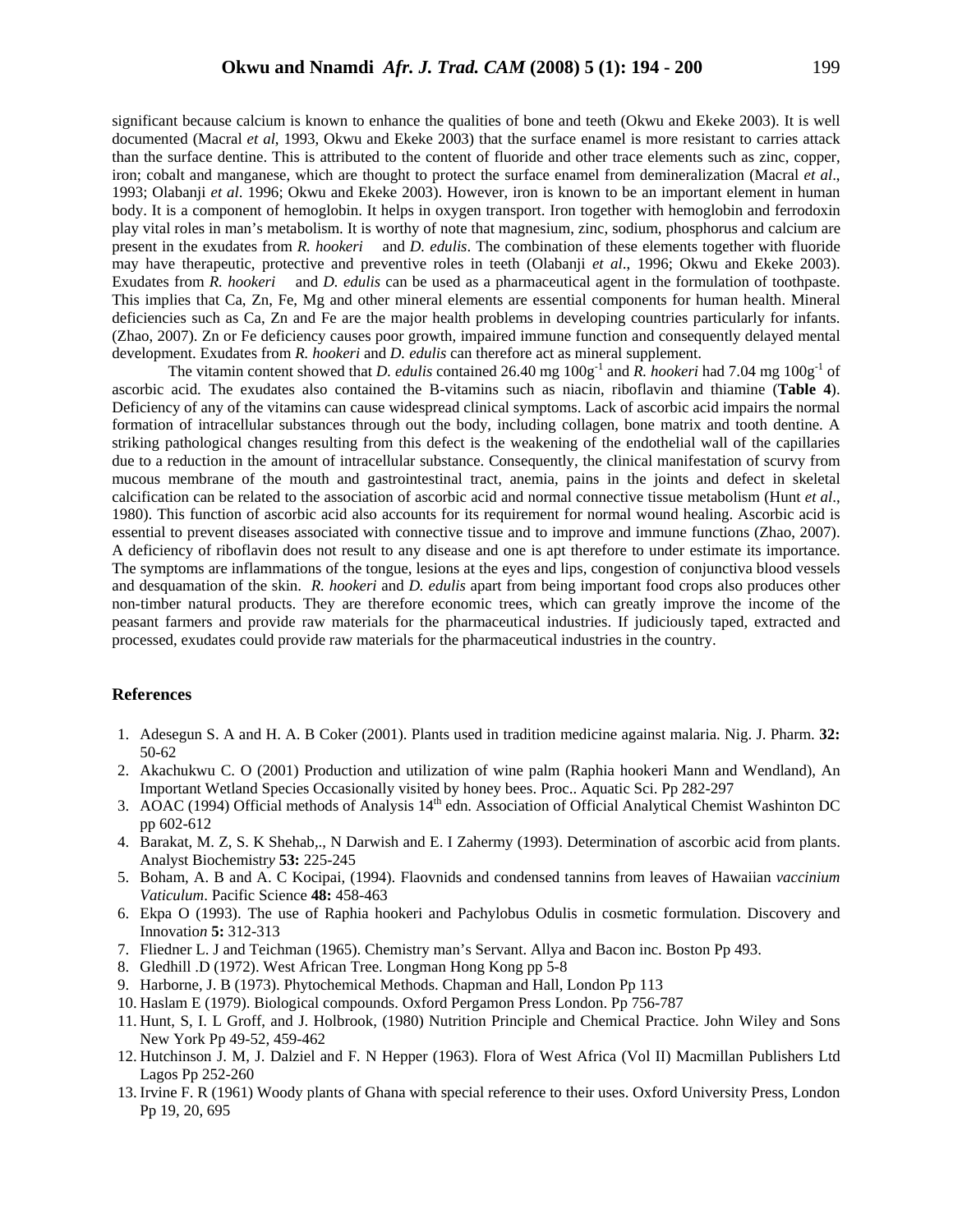significant because calcium is known to enhance the qualities of bone and teeth (Okwu and Ekeke 2003). It is well documented (Macral *et al*, 1993, Okwu and Ekeke 2003) that the surface enamel is more resistant to carries attack than the surface dentine. This is attributed to the content of fluoride and other trace elements such as zinc, copper, iron; cobalt and manganese, which are thought to protect the surface enamel from demineralization (Macral *et al*., 1993; Olabanji *et al*. 1996; Okwu and Ekeke 2003). However, iron is known to be an important element in human body. It is a component of hemoglobin. It helps in oxygen transport. Iron together with hemoglobin and ferrodoxin play vital roles in man's metabolism. It is worthy of note that magnesium, zinc, sodium, phosphorus and calcium are present in the exudates from *R. hookeri* and *D. edulis*. The combination of these elements together with fluoride may have therapeutic, protective and preventive roles in teeth (Olabanji *et al*., 1996; Okwu and Ekeke 2003). Exudates from *R. hookeri* and *D. edulis* can be used as a pharmaceutical agent in the formulation of toothpaste. This implies that Ca, Zn, Fe, Mg and other mineral elements are essential components for human health. Mineral deficiencies such as Ca, Zn and Fe are the major health problems in developing countries particularly for infants. (Zhao, 2007). Zn or Fe deficiency causes poor growth, impaired immune function and consequently delayed mental development. Exudates from *R. hookeri* and *D. edulis* can therefore act as mineral supplement.

The vitamin content showed that *D. edulis* contained 26.40 mg  $100g^{-1}$  and *R. hookeri* had 7.04 mg  $100g^{-1}$  of ascorbic acid. The exudates also contained the B-vitamins such as niacin, riboflavin and thiamine (**Table 4**). Deficiency of any of the vitamins can cause widespread clinical symptoms. Lack of ascorbic acid impairs the normal formation of intracellular substances through out the body, including collagen, bone matrix and tooth dentine. A striking pathological changes resulting from this defect is the weakening of the endothelial wall of the capillaries due to a reduction in the amount of intracellular substance. Consequently, the clinical manifestation of scurvy from mucous membrane of the mouth and gastrointestinal tract, anemia, pains in the joints and defect in skeletal calcification can be related to the association of ascorbic acid and normal connective tissue metabolism (Hunt *et al*., 1980). This function of ascorbic acid also accounts for its requirement for normal wound healing. Ascorbic acid is essential to prevent diseases associated with connective tissue and to improve and immune functions (Zhao, 2007). A deficiency of riboflavin does not result to any disease and one is apt therefore to under estimate its importance. The symptoms are inflammations of the tongue, lesions at the eyes and lips, congestion of conjunctiva blood vessels and desquamation of the skin. *R. hookeri* and *D. edulis* apart from being important food crops also produces other non-timber natural products. They are therefore economic trees, which can greatly improve the income of the peasant farmers and provide raw materials for the pharmaceutical industries. If judiciously taped, extracted and processed, exudates could provide raw materials for the pharmaceutical industries in the country.

#### **References**

- 1. Adesegun S. A and H. A. B Coker (2001). Plants used in tradition medicine against malaria. Nig. J. Pharm. **32:** 50-62
- 2. Akachukwu C. O (2001) Production and utilization of wine palm (Raphia hookeri Mann and Wendland), An Important Wetland Species Occasionally visited by honey bees. Proc.. Aquatic Sci. Pp 282-297
- 3. AOAC (1994) Official methods of Analysis 14<sup>th</sup> edn. Association of Official Analytical Chemist Washinton DC pp 602-612
- 4. Barakat, M. Z, S. K Shehab,., N Darwish and E. I Zahermy (1993). Determination of ascorbic acid from plants. Analyst Biochemistr*y* **53:** 225-245
- 5. Boham, A. B and A. C Kocipai, (1994). Flaovnids and condensed tannins from leaves of Hawaiian *vaccinium Vaticulum*. Pacific Science **48:** 458-463
- 6. Ekpa O (1993). The use of Raphia hookeri and Pachylobus Odulis in cosmetic formulation. Discovery and Innovatio*n* **5:** 312-313
- 7. Fliedner L. J and Teichman (1965). Chemistry man's Servant. Allya and Bacon inc. Boston Pp 493.
- 8. Gledhill .D (1972). West African Tree. Longman Hong Kong pp 5-8
- 9. Harborne, J. B (1973). Phytochemical Methods. Chapman and Hall, London Pp 113
- 10. Haslam E (1979). Biological compounds. Oxford Pergamon Press London. Pp 756-787
- 11. Hunt, S, I. L Groff, and J. Holbrook, (1980) Nutrition Principle and Chemical Practice. John Wiley and Sons New York Pp 49-52, 459-462
- 12. Hutchinson J. M, J. Dalziel and F. N Hepper (1963). Flora of West Africa (Vol II) Macmillan Publishers Ltd Lagos Pp 252-260
- 13. Irvine F. R (1961) Woody plants of Ghana with special reference to their uses. Oxford University Press, London Pp 19, 20, 695